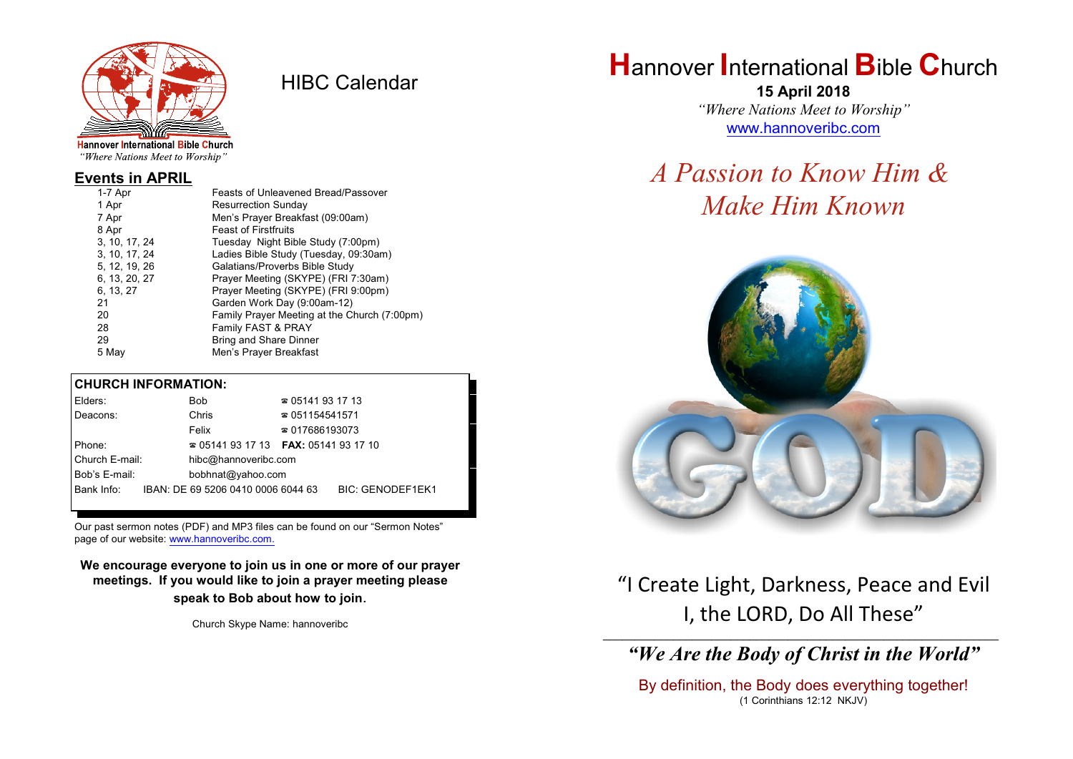

HIBC Calendar

"Where Nations Meet to Worship"

#### **Events in APRIL**

| 1-7 Apr       | Feasts of Unleavened Bread/Passover          |
|---------------|----------------------------------------------|
| 1 Apr         | <b>Resurrection Sunday</b>                   |
| 7 Apr         | Men's Prayer Breakfast (09:00am)             |
| 8 Apr         | <b>Feast of Firstfruits</b>                  |
| 3, 10, 17, 24 | Tuesday Night Bible Study (7:00pm)           |
| 3, 10, 17, 24 | Ladies Bible Study (Tuesday, 09:30am)        |
| 5, 12, 19, 26 | Galatians/Proverbs Bible Study               |
| 6, 13, 20, 27 | Prayer Meeting (SKYPE) (FRI 7:30am)          |
| 6, 13, 27     | Prayer Meeting (SKYPE) (FRI 9:00pm)          |
| 21            | Garden Work Day (9:00am-12)                  |
| 20            | Family Prayer Meeting at the Church (7:00pm) |
| 28            | Family FAST & PRAY                           |
| 29            | <b>Bring and Share Dinner</b>                |
| 5 May         | Men's Prayer Breakfast                       |
|               |                                              |

#### **CHURCH INFORMATION:**

| Elders:        | Bob                                      | $\approx 05141931713$  |                         |
|----------------|------------------------------------------|------------------------|-------------------------|
| Deacons:       | Chris                                    | $\approx 051154541571$ |                         |
|                | Felix                                    | $\approx 017686193073$ |                         |
| Phone:         | $\approx 05141931713$ FAX: 0514193 17 10 |                        |                         |
| Church E-mail: | hibc@hannoveribc.com                     |                        |                         |
| Bob's E-mail:  | bobhnat@yahoo.com                        |                        |                         |
| Bank Info:     | IBAN: DE 69 5206 0410 0006 6044 63       |                        | <b>BIC: GENODEF1EK1</b> |

Our past sermon notes (PDF) and MP3 files can be found on our "Sermon Notes" page of our website: [www.hannoveribc.com.](http://www.hannoveribc.com.)

**We encourage everyone to join us in one or more of our prayer meetings. If you would like to join a prayer meeting please speak to Bob about how to join**.

Church Skype Name: hannoveribc

## **H**annover **I**nternational **B**ible **C**hurch

**15 April 2018** *"Where Nations Meet to Worship"* [www.hannoveribc.com](http://www.hannoveribc.com)

# *A Passion to Know Him & Make Him Known*



### "I Create Light, Darkness, Peace and Evil I, the LORD, Do All These"

#### \_\_\_\_\_\_\_\_\_\_\_\_\_\_\_\_\_\_\_\_\_\_\_\_\_\_\_\_\_\_\_\_\_\_\_\_\_\_\_\_\_\_\_\_\_\_\_\_\_\_\_\_\_\_\_\_\_\_\_\_\_\_ *"We Are the Body of Christ in the World"*

By definition, the Body does everything together! (1 Corinthians 12:12 NKJV)